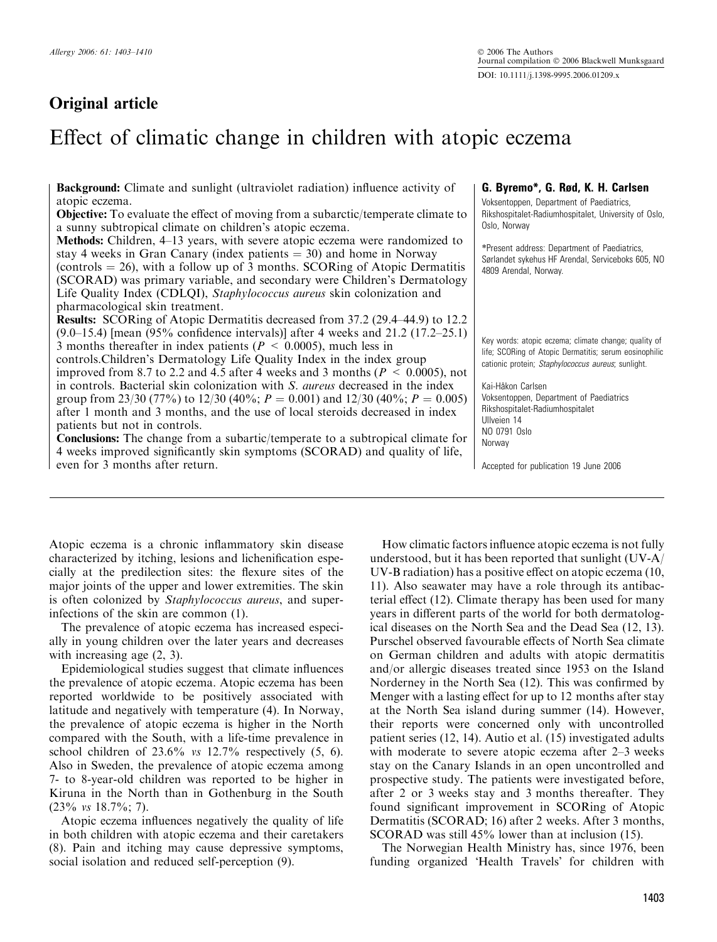# Original article

G. Byremo\*, G. Rød, K. H. Carlsen Voksentoppen, Department of Paediatrics, Rikshospitalet-Radiumhospitalet, University of Oslo,

Oslo, Norway

# Effect of climatic change in children with atopic eczema

Background: Climate and sunlight (ultraviolet radiation) influence activity of atopic eczema.

Objective: To evaluate the effect of moving from a subarctic/temperate climate to a sunny subtropical climate on children's atopic eczema.

| <b>Methods:</b> Children, 4–13 years, with severe atopic eczema were randomized to<br>stay 4 weeks in Gran Canary (index patients $=$ 30) and home in Norway<br>(controls $= 26$ ), with a follow up of 3 months. SCORing of Atopic Dermatitis | *Present address: Department of Paediatrics,<br>Sørlandet sykehus HF Arendal, Serviceboks 605, NO<br>4809 Arendal, Norway. |
|------------------------------------------------------------------------------------------------------------------------------------------------------------------------------------------------------------------------------------------------|----------------------------------------------------------------------------------------------------------------------------|
| (SCORAD) was primary variable, and secondary were Children's Dermatology                                                                                                                                                                       |                                                                                                                            |
| Life Quality Index (CDLQI), Staphylococcus aureus skin colonization and                                                                                                                                                                        |                                                                                                                            |
| pharmacological skin treatment.                                                                                                                                                                                                                |                                                                                                                            |
| <b>Results:</b> SCORing of Atopic Dermatitis decreased from 37.2 (29.4–44.9) to 12.2                                                                                                                                                           |                                                                                                                            |
| $(9.0-15.4)$ [mean $(95\%$ confidence intervals] after 4 weeks and 21.2 (17.2–25.1)                                                                                                                                                            |                                                                                                                            |
| 3 months thereafter in index patients ( $P \le 0.0005$ ), much less in                                                                                                                                                                         | Key words: atopic eczema; climate change; quality of<br>life; SCORing of Atopic Dermatitis; serum eosinophilic             |
| controls. Children's Dermatology Life Quality Index in the index group                                                                                                                                                                         | cationic protein; Staphylococcus aureus; sunlight.                                                                         |
| improved from 8.7 to 2.2 and 4.5 after 4 weeks and 3 months ( $P < 0.0005$ ), not                                                                                                                                                              |                                                                                                                            |
| in controls. Bacterial skin colonization with S, <i>aureus</i> decreased in the index                                                                                                                                                          | Kai-Håkon Carlsen                                                                                                          |
| group from 23/30 (77%) to 12/30 (40%; $P = 0.001$ ) and 12/30 (40%; $P = 0.005$ )                                                                                                                                                              | Voksentoppen, Department of Paediatrics                                                                                    |
| after 1 month and 3 months, and the use of local steroids decreased in index                                                                                                                                                                   | Rikshospitalet-Radiumhospitalet<br>Ullveien 14                                                                             |
| patients but not in controls.                                                                                                                                                                                                                  | NO 0791 Oslo                                                                                                               |
| <b>Conclusions:</b> The change from a subartic/temperate to a subtropical climate for                                                                                                                                                          | Norway                                                                                                                     |
| 4 weeks improved significantly skin symptoms (SCORAD) and quality of life,                                                                                                                                                                     |                                                                                                                            |
| even for 3 months after return.                                                                                                                                                                                                                | Accepted for publication 19 June 2006                                                                                      |

Atopic eczema is a chronic inflammatory skin disease characterized by itching, lesions and lichenification especially at the predilection sites: the flexure sites of the major joints of the upper and lower extremities. The skin is often colonized by *Staphylococcus aureus*, and superinfections of the skin are common (1).

The prevalence of atopic eczema has increased especially in young children over the later years and decreases with increasing age  $(2, 3)$ .

Epidemiological studies suggest that climate influences the prevalence of atopic eczema. Atopic eczema has been reported worldwide to be positively associated with latitude and negatively with temperature (4). In Norway, the prevalence of atopic eczema is higher in the North compared with the South, with a life-time prevalence in school children of  $23.6\%$  vs  $12.7\%$  respectively  $(5, 6)$ . Also in Sweden, the prevalence of atopic eczema among 7- to 8-year-old children was reported to be higher in Kiruna in the North than in Gothenburg in the South  $(23\% \text{ vs } 18.7\%; 7).$ 

Atopic eczema influences negatively the quality of life in both children with atopic eczema and their caretakers (8). Pain and itching may cause depressive symptoms, social isolation and reduced self-perception (9).

How climatic factors influence atopic eczema is not fully understood, but it has been reported that sunlight (UV-A/ UV-B radiation) has a positive effect on atopic eczema (10, 11). Also seawater may have a role through its antibacterial effect (12). Climate therapy has been used for many years in different parts of the world for both dermatological diseases on the North Sea and the Dead Sea (12, 13). Purschel observed favourable effects of North Sea climate on German children and adults with atopic dermatitis and/or allergic diseases treated since 1953 on the Island Norderney in the North Sea (12). This was confirmed by Menger with a lasting effect for up to 12 months after stay at the North Sea island during summer (14). However, their reports were concerned only with uncontrolled patient series (12, 14). Autio et al. (15) investigated adults with moderate to severe atopic eczema after 2–3 weeks stay on the Canary Islands in an open uncontrolled and prospective study. The patients were investigated before, after 2 or 3 weeks stay and 3 months thereafter. They found significant improvement in SCORing of Atopic Dermatitis (SCORAD; 16) after 2 weeks. After 3 months, SCORAD was still 45% lower than at inclusion (15).

The Norwegian Health Ministry has, since 1976, been funding organized 'Health Travels' for children with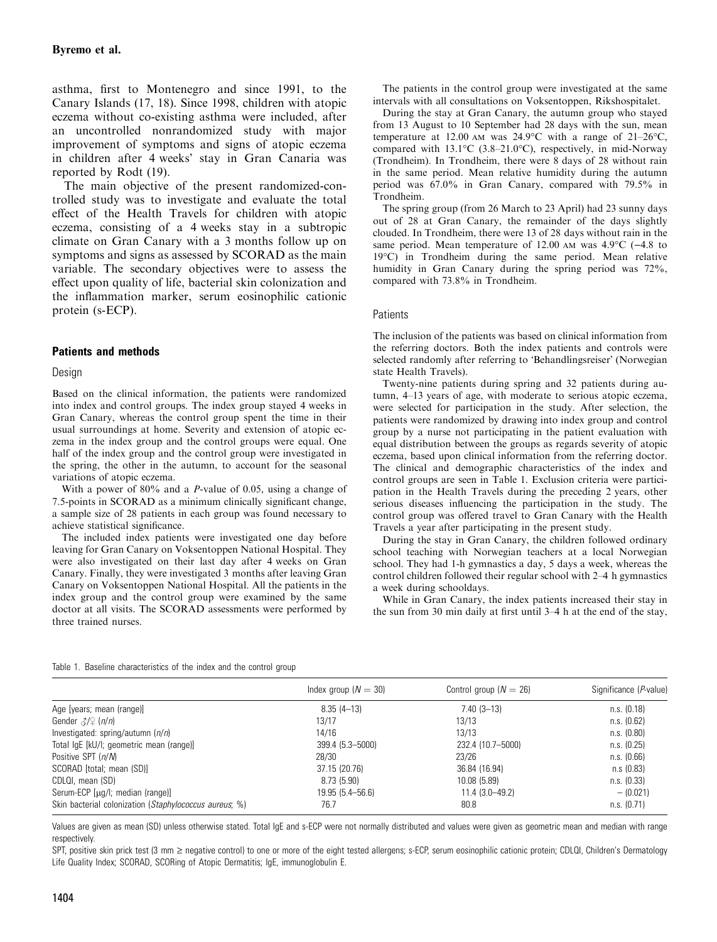asthma, first to Montenegro and since 1991, to the Canary Islands (17, 18). Since 1998, children with atopic eczema without co-existing asthma were included, after an uncontrolled nonrandomized study with major improvement of symptoms and signs of atopic eczema in children after 4 weeks' stay in Gran Canaria was reported by Rodt (19).

The main objective of the present randomized-controlled study was to investigate and evaluate the total effect of the Health Travels for children with atopic eczema, consisting of a 4 weeks stay in a subtropic climate on Gran Canary with a 3 months follow up on symptoms and signs as assessed by SCORAD as the main variable. The secondary objectives were to assess the effect upon quality of life, bacterial skin colonization and the inflammation marker, serum eosinophilic cationic protein (s-ECP).

#### Patients and methods

#### Design

Based on the clinical information, the patients were randomized into index and control groups. The index group stayed 4 weeks in Gran Canary, whereas the control group spent the time in their usual surroundings at home. Severity and extension of atopic eczema in the index group and the control groups were equal. One half of the index group and the control group were investigated in the spring, the other in the autumn, to account for the seasonal variations of atopic eczema.

With a power of 80% and a P-value of 0.05, using a change of 7.5-points in SCORAD as a minimum clinically significant change, a sample size of 28 patients in each group was found necessary to achieve statistical significance.

The included index patients were investigated one day before leaving for Gran Canary on Voksentoppen National Hospital. They were also investigated on their last day after 4 weeks on Gran Canary. Finally, they were investigated 3 months after leaving Gran Canary on Voksentoppen National Hospital. All the patients in the index group and the control group were examined by the same doctor at all visits. The SCORAD assessments were performed by three trained nurses.

The patients in the control group were investigated at the same intervals with all consultations on Voksentoppen, Rikshospitalet.

During the stay at Gran Canary, the autumn group who stayed from 13 August to 10 September had 28 days with the sun, mean temperature at 12.00 AM was  $24.9^{\circ}$ C with a range of  $21-26^{\circ}$ C, compared with  $13.1^{\circ}$ C (3.8–21.0°C), respectively, in mid-Norway (Trondheim). In Trondheim, there were 8 days of 28 without rain in the same period. Mean relative humidity during the autumn period was 67.0% in Gran Canary, compared with 79.5% in Trondheim.

The spring group (from 26 March to 23 April) had 23 sunny days out of 28 at Gran Canary, the remainder of the days slightly clouded. In Trondheim, there were 13 of 28 days without rain in the same period. Mean temperature of  $12.00$  AM was  $4.9^{\circ}$ C (-4.8 to 19C) in Trondheim during the same period. Mean relative humidity in Gran Canary during the spring period was 72%, compared with 73.8% in Trondheim.

#### **Patients**

The inclusion of the patients was based on clinical information from the referring doctors. Both the index patients and controls were selected randomly after referring to 'Behandlingsreiser' (Norwegian state Health Travels).

Twenty-nine patients during spring and 32 patients during autumn, 4–13 years of age, with moderate to serious atopic eczema, were selected for participation in the study. After selection, the patients were randomized by drawing into index group and control group by a nurse not participating in the patient evaluation with equal distribution between the groups as regards severity of atopic eczema, based upon clinical information from the referring doctor. The clinical and demographic characteristics of the index and control groups are seen in Table 1. Exclusion criteria were participation in the Health Travels during the preceding 2 years, other serious diseases influencing the participation in the study. The control group was offered travel to Gran Canary with the Health Travels a year after participating in the present study.

During the stay in Gran Canary, the children followed ordinary school teaching with Norwegian teachers at a local Norwegian school. They had 1-h gymnastics a day, 5 days a week, whereas the control children followed their regular school with 2–4 h gymnastics a week during schooldays.

While in Gran Canary, the index patients increased their stay in the sun from 30 min daily at first until 3–4 h at the end of the stay,

|  |  | Table 1. Baseline characteristics of the index and the control group |  |  |  |  |  |  |
|--|--|----------------------------------------------------------------------|--|--|--|--|--|--|
|--|--|----------------------------------------------------------------------|--|--|--|--|--|--|

|                                                        | Index group $(N = 30)$ | Control group $(N = 26)$ | Significance (P-value) |
|--------------------------------------------------------|------------------------|--------------------------|------------------------|
| Age [years; mean (range)]                              | $8.35(4-13)$           | $7.40(3-13)$             | n.s. (0.18)            |
| Gender $3/2 (n/n)$                                     | 13/17                  | 13/13                    | n.s. (0.62)            |
| Investigated: spring/autumn $(n/n)$                    | 14/16                  | 13/13                    | n.s. (0.80)            |
| Total IgE [kU/l; geometric mean (range)]               | 399.4 (5.3-5000)       | 232.4 (10.7-5000)        | n.s. (0.25)            |
| Positive SPT (n/M)                                     | 28/30                  | 23/26                    | n.s. (0.66)            |
| SCORAD [total; mean (SD)]                              | 37.15 (20.76)          | 36.84 (16.94)            | $n.s$ (0.83)           |
| CDLQI, mean (SD)                                       | 8.73(5.90)             | 10.08(5.89)              | n.s. (0.33)            |
| Serum-ECP [µg/l; median (range)]                       | 19.95 (5.4 - 56.6)     | $11.4(3.0 - 49.2)$       | $-$ (0.021)            |
| Skin bacterial colonization (Staphylococcus aureus; %) | 76.7                   | 80.8                     | n.s. (0.71)            |

Values are given as mean (SD) unless otherwise stated. Total IgE and s-ECP were not normally distributed and values were given as geometric mean and median with range respectively.

SPT, positive skin prick test (3 mm ≥ negative control) to one or more of the eight tested allergens; s-ECP, serum eosinophilic cationic protein; CDLQI, Children's Dermatology Life Quality Index; SCORAD, SCORing of Atopic Dermatitis; IgE, immunoglobulin E.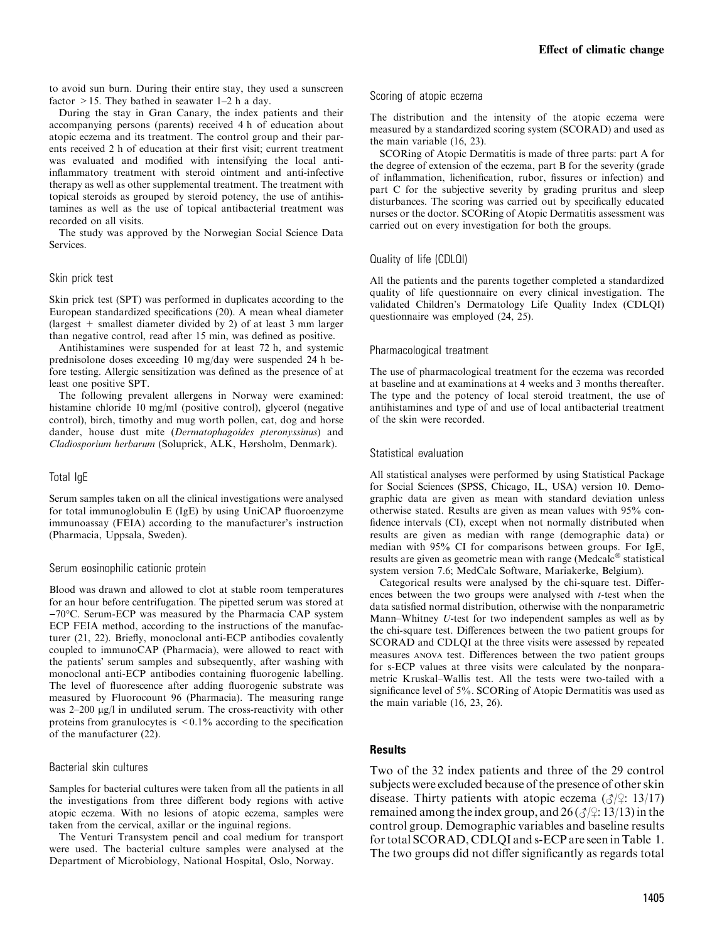to avoid sun burn. During their entire stay, they used a sunscreen factor  $>15$ . They bathed in seawater 1–2 h a day.

During the stay in Gran Canary, the index patients and their accompanying persons (parents) received 4 h of education about atopic eczema and its treatment. The control group and their parents received 2 h of education at their first visit; current treatment was evaluated and modified with intensifying the local antiinflammatory treatment with steroid ointment and anti-infective therapy as well as other supplemental treatment. The treatment with topical steroids as grouped by steroid potency, the use of antihistamines as well as the use of topical antibacterial treatment was recorded on all visits.

The study was approved by the Norwegian Social Science Data **Services** 

#### Skin prick test

Skin prick test (SPT) was performed in duplicates according to the European standardized specifications (20). A mean wheal diameter (largest  $+$  smallest diameter divided by 2) of at least 3 mm larger than negative control, read after 15 min, was defined as positive.

Antihistamines were suspended for at least 72 h, and systemic prednisolone doses exceeding 10 mg/day were suspended 24 h before testing. Allergic sensitization was defined as the presence of at least one positive SPT.

The following prevalent allergens in Norway were examined: histamine chloride 10 mg/ml (positive control), glycerol (negative control), birch, timothy and mug worth pollen, cat, dog and horse dander, house dust mite (Dermatophagoides pteronyssinus) and Cladiosporium herbarum (Soluprick, ALK, Hørsholm, Denmark).

#### Total IgE

Serum samples taken on all the clinical investigations were analysed for total immunoglobulin E (IgE) by using UniCAP fluoroenzyme immunoassay (FEIA) according to the manufacturer's instruction (Pharmacia, Uppsala, Sweden).

#### Serum eosinophilic cationic protein

Blood was drawn and allowed to clot at stable room temperatures for an hour before centrifugation. The pipetted serum was stored at  $-70^{\circ}$ C. Serum-ECP was measured by the Pharmacia CAP system ECP FEIA method, according to the instructions of the manufacturer (21, 22). Briefly, monoclonal anti-ECP antibodies covalently coupled to immunoCAP (Pharmacia), were allowed to react with the patients' serum samples and subsequently, after washing with monoclonal anti-ECP antibodies containing fluorogenic labelling. The level of fluorescence after adding fluorogenic substrate was measured by Fluorocount 96 (Pharmacia). The measuring range was  $2-200 \mu g/l$  in undiluted serum. The cross-reactivity with other proteins from granulocytes is  $\leq 0.1\%$  according to the specification of the manufacturer (22).

#### Bacterial skin cultures

Samples for bacterial cultures were taken from all the patients in all the investigations from three different body regions with active atopic eczema. With no lesions of atopic eczema, samples were taken from the cervical, axillar or the inguinal regions.

The Venturi Transystem pencil and coal medium for transport were used. The bacterial culture samples were analysed at the Department of Microbiology, National Hospital, Oslo, Norway.

#### Scoring of atopic eczema

The distribution and the intensity of the atopic eczema were measured by a standardized scoring system (SCORAD) and used as the main variable (16, 23).

SCORing of Atopic Dermatitis is made of three parts: part A for the degree of extension of the eczema, part B for the severity (grade of inflammation, lichenification, rubor, fissures or infection) and part C for the subjective severity by grading pruritus and sleep disturbances. The scoring was carried out by specifically educated nurses or the doctor. SCORing of Atopic Dermatitis assessment was carried out on every investigation for both the groups.

#### Quality of life (CDLQI)

All the patients and the parents together completed a standardized quality of life questionnaire on every clinical investigation. The validated Children's Dermatology Life Quality Index (CDLQI) questionnaire was employed (24, 25).

#### Pharmacological treatment

The use of pharmacological treatment for the eczema was recorded at baseline and at examinations at 4 weeks and 3 months thereafter. The type and the potency of local steroid treatment, the use of antihistamines and type of and use of local antibacterial treatment of the skin were recorded.

#### Statistical evaluation

All statistical analyses were performed by using Statistical Package for Social Sciences (SPSS, Chicago, IL, USA) version 10. Demographic data are given as mean with standard deviation unless otherwise stated. Results are given as mean values with 95% confidence intervals (CI), except when not normally distributed when results are given as median with range (demographic data) or median with 95% CI for comparisons between groups. For IgE, results are given as geometric mean with range (Medcalc<sup>®</sup> statistical system version 7.6; MedCalc Software, Mariakerke, Belgium).

Categorical results were analysed by the chi-square test. Differences between the two groups were analysed with t-test when the data satisfied normal distribution, otherwise with the nonparametric Mann–Whitney U-test for two independent samples as well as by the chi-square test. Differences between the two patient groups for SCORAD and CDLQI at the three visits were assessed by repeated measures anova test. Differences between the two patient groups for s-ECP values at three visits were calculated by the nonparametric Kruskal–Wallis test. All the tests were two-tailed with a significance level of 5%. SCORing of Atopic Dermatitis was used as the main variable (16, 23, 26).

#### Results

Two of the 32 index patients and three of the 29 control subjects were excluded because of the presence of other skin disease. Thirty patients with atopic eczema  $(\sqrt{3})^2$ : 13/17) remained among the index group, and  $26 \left(\frac{\pi}{2}\right) \div 13/13$  in the control group. Demographic variables and baseline results for total SCORAD, CDLQI and s-ECP are seen in Table 1. The two groups did not differ significantly as regards total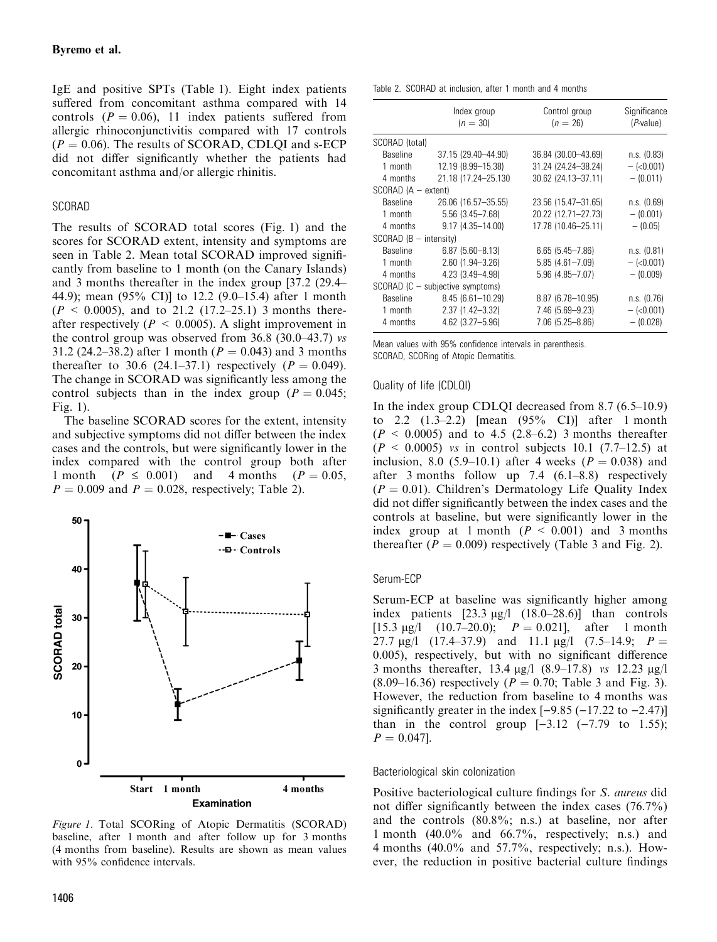IgE and positive SPTs (Table 1). Eight index patients suffered from concomitant asthma compared with 14 controls ( $P = 0.06$ ), 11 index patients suffered from allergic rhinoconjunctivitis compared with 17 controls  $(P = 0.06)$ . The results of SCORAD, CDLQI and s-ECP did not differ significantly whether the patients had concomitant asthma and/or allergic rhinitis.

#### SCORAD

The results of SCORAD total scores (Fig. 1) and the scores for SCORAD extent, intensity and symptoms are seen in Table 2. Mean total SCORAD improved significantly from baseline to 1 month (on the Canary Islands) and 3 months thereafter in the index group [37.2 (29.4– 44.9); mean (95% CI)] to 12.2 (9.0–15.4) after 1 month  $(P < 0.0005)$ , and to 21.2 (17.2–25.1) 3 months thereafter respectively ( $P < 0.0005$ ). A slight improvement in the control group was observed from  $36.8$  (30.0–43.7) vs 31.2 (24.2–38.2) after 1 month ( $P = 0.043$ ) and 3 months thereafter to 30.6 (24.1–37.1) respectively ( $P = 0.049$ ). The change in SCORAD was significantly less among the control subjects than in the index group ( $P = 0.045$ ; Fig. 1).

The baseline SCORAD scores for the extent, intensity and subjective symptoms did not differ between the index cases and the controls, but were significantly lower in the index compared with the control group both after 1 month ( $P \le 0.001$ ) and 4 months ( $P = 0.05$ ,  $P = 0.009$  and  $P = 0.028$ , respectively; Table 2).



Figure 1. Total SCORing of Atopic Dermatitis (SCORAD) baseline, after 1 month and after follow up for 3 months (4 months from baseline). Results are shown as mean values with 95% confidence intervals.

Table 2. SCORAD at inclusion, after 1 month and 4 months

|                          | Index group<br>$(n = 30)$          | Control group<br>$(n = 26)$ | Significance<br>$(P-value)$ |  |
|--------------------------|------------------------------------|-----------------------------|-----------------------------|--|
| SCORAD (total)           |                                    |                             |                             |  |
| Baseline                 | 37.15 (29.40-44.90)                | 36.84 (30.00-43.69)         | n.s. (0.83)                 |  |
| 1 month                  | 12.19 (8.99-15.38)                 | 31.24 (24.24-38.24)         | $-$ ( $<$ 0.001)            |  |
| 4 months                 | 21.18 (17.24-25.130)               | 30.62 (24.13-37.11)         | $-$ (0.011)                 |  |
| $SCORAD (A - extent)$    |                                    |                             |                             |  |
| Baseline                 | 26.06 (16.57-35.55)                | 23.56 (15.47-31.65)         | n.s. (0.69)                 |  |
| 1 month                  | $5.56(3.45 - 7.68)$                | 20.22 (12.71-27.73)         | $-$ (0.001)                 |  |
| 4 months                 | $9.17(4.35 - 14.00)$               | 17.78 (10.46-25.11)         | $-$ (0.05)                  |  |
| $SCORAD$ (B - intensity) |                                    |                             |                             |  |
| <b>Baseline</b>          | $6.87(5.60 - 8.13)$                | $6.65(5.45 - 7.86)$         | n.s. (0.81)                 |  |
| 1 month                  | 2.60 (1.94-3.26)                   | $5.85(4.61 - 7.09)$         | $-$ ( $<$ 0.001)            |  |
| 4 months                 | 4.23 (3.49-4.98)                   | $5.96(4.85 - 7.07)$         | $-$ (0.009)                 |  |
|                          | $SCORAD (C - subjective symptoms)$ |                             |                             |  |
| Baseline                 | $8.45(6.61 - 10.29)$               | $8.87(6.78 - 10.95)$        | n.s. (0.76)                 |  |
| 1 month                  | 2.37 (1.42-3.32)                   | 7.46 (5.69-9.23)            | $-$ ( $<$ 0.001)            |  |
| 4 months                 | 4.62 (3.27-5.96)                   | 7.06 (5.25-8.86)            | $- (0.028)$                 |  |

Mean values with 95% confidence intervals in parenthesis. SCORAD, SCORing of Atopic Dermatitis.

#### Quality of life (CDLQI)

In the index group CDLQI decreased from 8.7 (6.5–10.9) to 2.2 (1.3–2.2) [mean (95% CI)] after 1 month  $(P < 0.0005)$  and to 4.5 (2.8–6.2) 3 months thereafter  $(P < 0.0005)$  vs in control subjects 10.1 (7.7–12.5) at inclusion, 8.0 (5.9–10.1) after 4 weeks ( $P = 0.038$ ) and after 3 months follow up 7.4 (6.1–8.8) respectively  $(P = 0.01)$ . Children's Dermatology Life Quality Index did not differ significantly between the index cases and the controls at baseline, but were significantly lower in the index group at 1 month  $(P < 0.001)$  and 3 months thereafter ( $P = 0.009$ ) respectively (Table 3 and Fig. 2).

#### Serum-ECP

Serum-ECP at baseline was significantly higher among index patients  $[23.3 \text{ µg/l} (18.0-28.6)]$  than controls [15.3  $\mu$ g/l (10.7–20.0);  $P = 0.021$ ], after 1 month 27.7  $\mu$ g/l (17.4–37.9) and 11.1  $\mu$ g/l (7.5–14.9;  $P =$ 0.005), respectively, but with no significant difference 3 months thereafter, 13.4  $\mu$ g/l (8.9–17.8) vs 12.23  $\mu$ g/l  $(8.09-16.36)$  respectively  $(P = 0.70;$  Table 3 and Fig. 3). However, the reduction from baseline to 4 months was significantly greater in the index  $[-9.85 (-17.22 \text{ to } -2.47)]$ than in the control group  $[-3.12 \ (-7.79 \text{ to } 1.55);$  $P = 0.047$ .

#### Bacteriological skin colonization

Positive bacteriological culture findings for S. aureus did not differ significantly between the index cases (76.7%) and the controls (80.8%; n.s.) at baseline, nor after 1 month  $(40.0\%$  and  $66.7\%$ , respectively; n.s.) and 4 months (40.0% and 57.7%, respectively; n.s.). However, the reduction in positive bacterial culture findings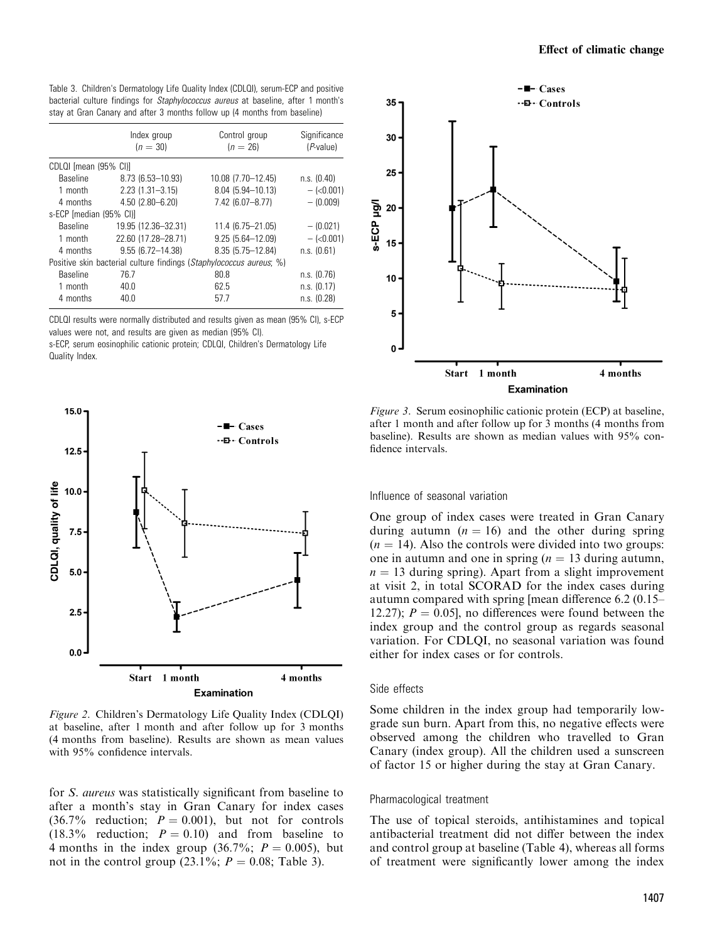Table 3. Children's Dermatology Life Quality Index (CDLQI), serum-ECP and positive bacterial culture findings for Staphylococcus aureus at baseline, after 1 month's stay at Gran Canary and after 3 months follow up (4 months from baseline)

|                         | Index group<br>$(n = 30)$                                           | Control group<br>$(n = 26)$ | Significance<br>$(P-value)$ |
|-------------------------|---------------------------------------------------------------------|-----------------------------|-----------------------------|
| CDLQI [mean (95% CI)]   |                                                                     |                             |                             |
| Baseline                | 8.73 (6.53-10.93)                                                   | 10.08 (7.70-12.45)          | n.s. (0.40)                 |
| 1 month                 | $2.23(1.31 - 3.15)$                                                 | 8.04 (5.94-10.13)           | $-$ ( $<$ 0.001)            |
| 4 months                | 4.50 (2.80-6.20)                                                    | 7.42 (6.07-8.77)            | $-$ (0.009)                 |
| s-ECP [median (95% CI)] |                                                                     |                             |                             |
| Baseline                | 19.95 (12.36-32.31)                                                 | 11.4 (6.75-21.05)           | $- (0.021)$                 |
| 1 month                 | 22.60 (17.28-28.71)                                                 | $9.25(5.64 - 12.09)$        | $-$ ( $<$ 0.001)            |
| 4 months                | $9.55(6.72 - 14.38)$                                                | 8.35 (5.75-12.84)           | n.s. (0.61)                 |
|                         | Positive skin bacterial culture findings (Staphylococcus aureus; %) |                             |                             |
| <b>Baseline</b>         | 76.7                                                                | 80.8                        | $n.s.$ (0.76)               |
| 1 month                 | 40.0                                                                | 62.5                        | n.s. (0.17)                 |
| 4 months                | 40.0                                                                | 57.7                        | n.s. (0.28)                 |

CDLQI results were normally distributed and results given as mean (95% CI), s-ECP values were not, and results are given as median (95% CI).

s-ECP, serum eosinophilic cationic protein; CDLQI, Children's Dermatology Life Quality Index.



Figure 2. Children's Dermatology Life Quality Index (CDLQI) at baseline, after 1 month and after follow up for 3 months (4 months from baseline). Results are shown as mean values with 95% confidence intervals.

for S. aureus was statistically significant from baseline to after a month's stay in Gran Canary for index cases  $(36.7\%$  reduction;  $P = 0.001$ ), but not for controls  $(18.3\% \text{ reduction}; P = 0.10)$  and from baseline to 4 months in the index group (36.7%;  $P = 0.005$ ), but not in the control group (23.1%;  $P = 0.08$ ; Table 3).



Figure 3. Serum eosinophilic cationic protein (ECP) at baseline, after 1 month and after follow up for 3 months (4 months from baseline). Results are shown as median values with 95% confidence intervals.

Influence of seasonal variation

One group of index cases were treated in Gran Canary during autumn  $(n = 16)$  and the other during spring  $(n = 14)$ . Also the controls were divided into two groups: one in autumn and one in spring  $(n = 13$  during autumn,  $n = 13$  during spring). Apart from a slight improvement at visit 2, in total SCORAD for the index cases during autumn compared with spring [mean difference 6.2 (0.15– 12.27);  $P = 0.05$ , no differences were found between the index group and the control group as regards seasonal variation. For CDLQI, no seasonal variation was found either for index cases or for controls.

## Side effects

Some children in the index group had temporarily lowgrade sun burn. Apart from this, no negative effects were observed among the children who travelled to Gran Canary (index group). All the children used a sunscreen of factor 15 or higher during the stay at Gran Canary.

#### Pharmacological treatment

The use of topical steroids, antihistamines and topical antibacterial treatment did not differ between the index and control group at baseline (Table 4), whereas all forms of treatment were significantly lower among the index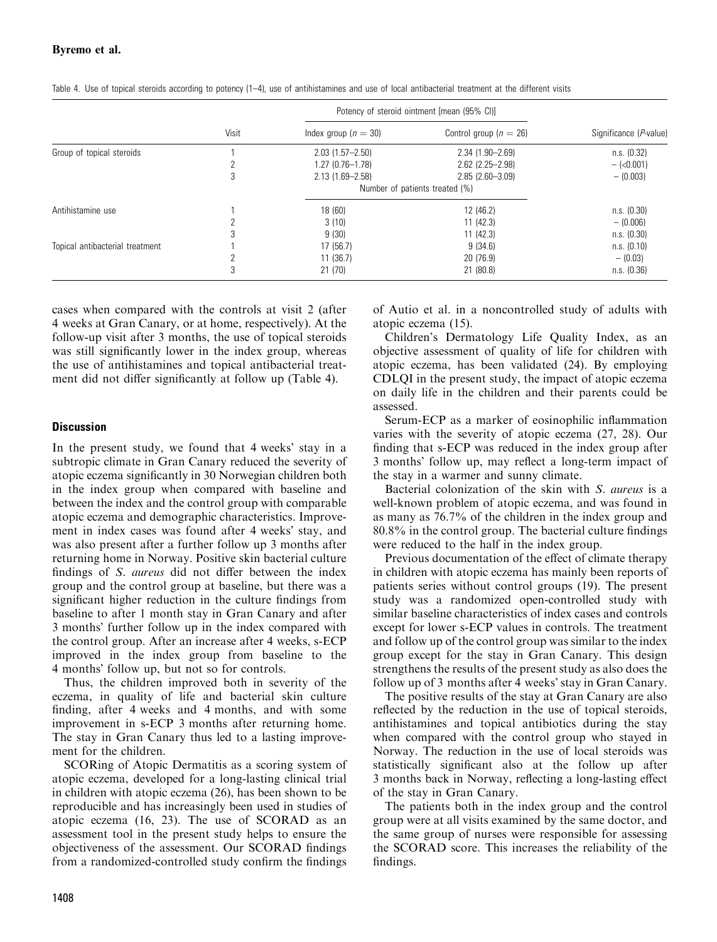|                                 |       | Potency of steroid ointment [mean (95% CI)] |                            |                        |
|---------------------------------|-------|---------------------------------------------|----------------------------|------------------------|
|                                 | Visit | Index group ( $n = 30$ )                    | Control group ( $n = 26$ ) | Significance (P-value) |
| Group of topical steroids       |       | $2.03(1.57 - 2.50)$                         | $2.34(1.90 - 2.69)$        | n.s. (0.32)            |
|                                 |       | $1.27(0.76 - 1.78)$                         | 2.62 (2.25-2.98)           | $-$ ( $<$ 0.001)       |
|                                 | 3     | 2.13 (1.69-2.58)                            | $2.85(2.60 - 3.09)$        | $- (0.003)$            |
|                                 |       | Number of patients treated (%)              |                            |                        |
| Antihistamine use               |       | 18 (60)                                     | 12 (46.2)                  | n.s. (0.30)            |
|                                 |       | 3(10)                                       | 11(42.3)                   | $- (0.006)$            |
|                                 |       | 9(30)                                       | 11(42.3)                   | n.s. (0.30)            |
| Topical antibacterial treatment |       | 17(56.7)                                    | 9(34.6)                    | n.s. (0.10)            |
|                                 |       | 11(36.7)                                    | 20 (76.9)                  | $- (0.03)$             |
|                                 | 3     | 21(70)                                      | 21(80.8)                   | n.s. (0.36)            |

Table 4. Use of topical steroids according to potency (1–4), use of antihistamines and use of local antibacterial treatment at the different visits

cases when compared with the controls at visit 2 (after 4 weeks at Gran Canary, or at home, respectively). At the follow-up visit after 3 months, the use of topical steroids was still significantly lower in the index group, whereas the use of antihistamines and topical antibacterial treatment did not differ significantly at follow up (Table 4).

# **Discussion**

In the present study, we found that 4 weeks' stay in a subtropic climate in Gran Canary reduced the severity of atopic eczema significantly in 30 Norwegian children both in the index group when compared with baseline and between the index and the control group with comparable atopic eczema and demographic characteristics. Improvement in index cases was found after 4 weeks' stay, and was also present after a further follow up 3 months after returning home in Norway. Positive skin bacterial culture findings of S. aureus did not differ between the index group and the control group at baseline, but there was a significant higher reduction in the culture findings from baseline to after 1 month stay in Gran Canary and after 3 months' further follow up in the index compared with the control group. After an increase after 4 weeks, s-ECP improved in the index group from baseline to the 4 months' follow up, but not so for controls.

Thus, the children improved both in severity of the eczema, in quality of life and bacterial skin culture finding, after 4 weeks and 4 months, and with some improvement in s-ECP 3 months after returning home. The stay in Gran Canary thus led to a lasting improvement for the children.

SCORing of Atopic Dermatitis as a scoring system of atopic eczema, developed for a long-lasting clinical trial in children with atopic eczema (26), has been shown to be reproducible and has increasingly been used in studies of atopic eczema (16, 23). The use of SCORAD as an assessment tool in the present study helps to ensure the objectiveness of the assessment. Our SCORAD findings from a randomized-controlled study confirm the findings of Autio et al. in a noncontrolled study of adults with atopic eczema (15).

Children's Dermatology Life Quality Index, as an objective assessment of quality of life for children with atopic eczema, has been validated (24). By employing CDLQI in the present study, the impact of atopic eczema on daily life in the children and their parents could be assessed.

Serum-ECP as a marker of eosinophilic inflammation varies with the severity of atopic eczema (27, 28). Our finding that s-ECP was reduced in the index group after 3 months' follow up, may reflect a long-term impact of the stay in a warmer and sunny climate.

Bacterial colonization of the skin with S. aureus is a well-known problem of atopic eczema, and was found in as many as 76.7% of the children in the index group and 80.8% in the control group. The bacterial culture findings were reduced to the half in the index group.

Previous documentation of the effect of climate therapy in children with atopic eczema has mainly been reports of patients series without control groups (19). The present study was a randomized open-controlled study with similar baseline characteristics of index cases and controls except for lower s-ECP values in controls. The treatment and follow up of the control group was similar to the index group except for the stay in Gran Canary. This design strengthens the results of the present study as also does the follow up of 3 months after 4 weeks' stay in Gran Canary.

The positive results of the stay at Gran Canary are also reflected by the reduction in the use of topical steroids, antihistamines and topical antibiotics during the stay when compared with the control group who stayed in Norway. The reduction in the use of local steroids was statistically significant also at the follow up after 3 months back in Norway, reflecting a long-lasting effect of the stay in Gran Canary.

The patients both in the index group and the control group were at all visits examined by the same doctor, and the same group of nurses were responsible for assessing the SCORAD score. This increases the reliability of the findings.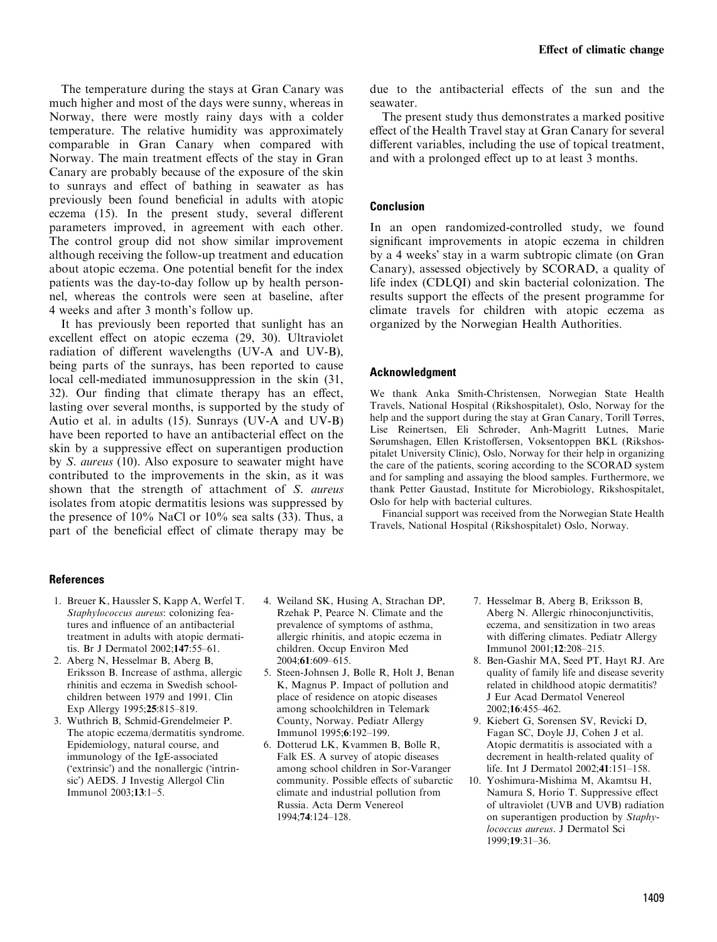The temperature during the stays at Gran Canary was much higher and most of the days were sunny, whereas in Norway, there were mostly rainy days with a colder temperature. The relative humidity was approximately comparable in Gran Canary when compared with Norway. The main treatment effects of the stay in Gran Canary are probably because of the exposure of the skin to sunrays and effect of bathing in seawater as has previously been found beneficial in adults with atopic eczema (15). In the present study, several different parameters improved, in agreement with each other. The control group did not show similar improvement although receiving the follow-up treatment and education about atopic eczema. One potential benefit for the index patients was the day-to-day follow up by health personnel, whereas the controls were seen at baseline, after 4 weeks and after 3 month's follow up.

It has previously been reported that sunlight has an excellent effect on atopic eczema (29, 30). Ultraviolet radiation of different wavelengths (UV-A and UV-B), being parts of the sunrays, has been reported to cause local cell-mediated immunosuppression in the skin (31, 32). Our finding that climate therapy has an effect, lasting over several months, is supported by the study of Autio et al. in adults (15). Sunrays (UV-A and UV-B) have been reported to have an antibacterial effect on the skin by a suppressive effect on superantigen production by S. aureus (10). Also exposure to seawater might have contributed to the improvements in the skin, as it was shown that the strength of attachment of S. aureus isolates from atopic dermatitis lesions was suppressed by the presence of 10% NaCl or 10% sea salts (33). Thus, a part of the beneficial effect of climate therapy may be

# due to the antibacterial effects of the sun and the seawater.

The present study thus demonstrates a marked positive effect of the Health Travel stay at Gran Canary for several different variables, including the use of topical treatment, and with a prolonged effect up to at least 3 months.

# Conclusion

In an open randomized-controlled study, we found significant improvements in atopic eczema in children by a 4 weeks' stay in a warm subtropic climate (on Gran) Canary), assessed objectively by SCORAD, a quality of life index (CDLQI) and skin bacterial colonization. The results support the effects of the present programme for climate travels for children with atopic eczema as organized by the Norwegian Health Authorities.

# Acknowledgment

We thank Anka Smith-Christensen, Norwegian State Health Travels, National Hospital (Rikshospitalet), Oslo, Norway for the help and the support during the stay at Gran Canary, Torill Tørres, Lise Reinertsen, Eli Schrøder, Anh-Magritt Lutnes, Marie Sørumshagen, Ellen Kristoffersen, Voksentoppen BKL (Rikshospitalet University Clinic), Oslo, Norway for their help in organizing the care of the patients, scoring according to the SCORAD system and for sampling and assaying the blood samples. Furthermore, we thank Petter Gaustad, Institute for Microbiology, Rikshospitalet, Oslo for help with bacterial cultures.

Financial support was received from the Norwegian State Health Travels, National Hospital (Rikshospitalet) Oslo, Norway.

## References

- 1. Breuer K, Haussler S, Kapp A, Werfel T. Staphylococcus aureus: colonizing features and influence of an antibacterial treatment in adults with atopic dermatitis. Br J Dermatol 2002;147:55–61.
- 2. Aberg N, Hesselmar B, Aberg B, Eriksson B. Increase of asthma, allergic rhinitis and eczema in Swedish schoolchildren between 1979 and 1991. Clin Exp Allergy 1995;25:815–819.
- 3. Wuthrich B, Schmid-Grendelmeier P. The atopic eczema/dermatitis syndrome. Epidemiology, natural course, and immunology of the IgE-associated ('extrinsic') and the nonallergic ('intrinsic) AEDS. J Investig Allergol Clin Immunol 2003;13:1–5.
- 4. Weiland SK, Husing A, Strachan DP, Rzehak P, Pearce N. Climate and the prevalence of symptoms of asthma, allergic rhinitis, and atopic eczema in children. Occup Environ Med 2004;61:609–615.
- 5. Steen-Johnsen J, Bolle R, Holt J, Benan K, Magnus P. Impact of pollution and place of residence on atopic diseases among schoolchildren in Telemark County, Norway. Pediatr Allergy Immunol 1995;6:192–199.
- 6. Dotterud LK, Kvammen B, Bolle R, Falk ES. A survey of atopic diseases among school children in Sor-Varanger community. Possible effects of subarctic climate and industrial pollution from Russia. Acta Derm Venereol 1994;74:124–128.
- 7. Hesselmar B, Aberg B, Eriksson B, Aberg N. Allergic rhinoconjunctivitis, eczema, and sensitization in two areas with differing climates. Pediatr Allergy Immunol 2001;12:208–215.
- 8. Ben-Gashir MA, Seed PT, Hayt RJ. Are quality of family life and disease severity related in childhood atopic dermatitis? J Eur Acad Dermatol Venereol 2002;16:455–462.
- 9. Kiebert G, Sorensen SV, Revicki D, Fagan SC, Doyle JJ, Cohen J et al. Atopic dermatitis is associated with a decrement in health-related quality of life. Int J Dermatol 2002;41:151–158.
- 10. Yoshimura-Mishima M, Akamtsu H, Namura S, Horio T. Suppressive effect of ultraviolet (UVB and UVB) radiation on superantigen production by Staphylococcus aureus. J Dermatol Sci 1999;19:31–36.